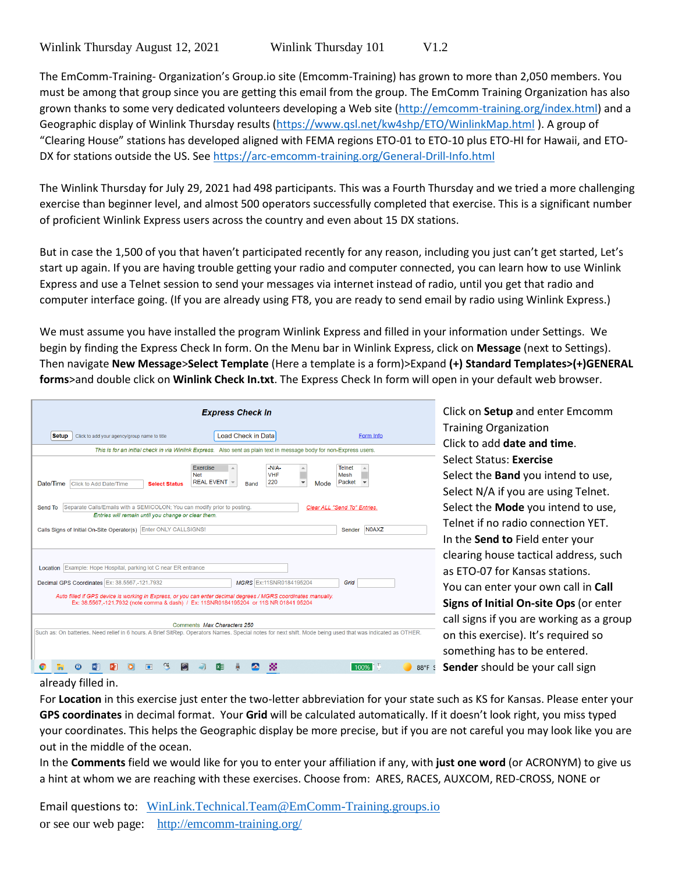The EmComm-Training- Organization's Group.io site (Emcomm-Training) has grown to more than 2,050 members. You must be among that group since you are getting this email from the group. The EmComm Training Organization has also grown thanks to some very dedicated volunteers developing a Web site [\(http://emcomm-training.org/index.html\)](http://emcomm-training.org/index.html) and a Geographic display of Winlink Thursday results [\(https://www.qsl.net/kw4shp/ETO/WinlinkMap.html](https://www.qsl.net/kw4shp/ETO/WinlinkMap.html) ). A group of "Clearing House" stations has developed aligned with FEMA regions ETO-01 to ETO-10 plus ETO-HI for Hawaii, and ETO-DX for stations outside the US. Se[e https://arc-emcomm-training.org/General-Drill-Info.html](https://arc-emcomm-training.org/General-Drill-Info.html)

The Winlink Thursday for July 29, 2021 had 498 participants. This was a Fourth Thursday and we tried a more challenging exercise than beginner level, and almost 500 operators successfully completed that exercise. This is a significant number of proficient Winlink Express users across the country and even about 15 DX stations.

But in case the 1,500 of you that haven't participated recently for any reason, including you just can't get started, Let's start up again. If you are having trouble getting your radio and computer connected, you can learn how to use Winlink Express and use a Telnet session to send your messages via internet instead of radio, until you get that radio and computer interface going. (If you are already using FT8, you are ready to send email by radio using Winlink Express.)

We must assume you have installed the program Winlink Express and filled in your information under Settings. We begin by finding the Express Check In form. On the Menu bar in Winlink Express, click on **Message** (next to Settings). Then navigate **New Message**>**Select Template** (Here a template is a form)>Expand **(+) Standard Templates>(+)GENERAL forms**>and double click on **Winlink Check In.txt**. The Express Check In form will open in your default web browser.

| <b>Express Check In</b>                                                                                                                                                                                 |                                                                                                                                            |
|---------------------------------------------------------------------------------------------------------------------------------------------------------------------------------------------------------|--------------------------------------------------------------------------------------------------------------------------------------------|
| <b>Setup</b><br>Click to add your agency/group name to title                                                                                                                                            | Load Check in Data<br>Form Info                                                                                                            |
| This is for an initial check in via Winlink Express. Also sent as plain text in message body for non-Express users.                                                                                     |                                                                                                                                            |
| Exercise<br><b>Net</b><br><b>REAL EVENT</b><br>Date/Time<br>Click to Add Date/Time<br><b>Select Status</b>                                                                                              | $-N/A$<br><b>Telnet</b><br>盀<br><b>VHF</b><br>Mesh<br>220<br>Packet<br>$\overline{\phantom{a}}$<br>$\overline{\mathbf{v}}$<br>Mode<br>Band |
| Separate Calls/Emails with a SEMICOLON; You can modify prior to posting.<br>Send To<br>Clear ALL "Send To" Entries.                                                                                     |                                                                                                                                            |
| Entries will remain until you change or clear them.                                                                                                                                                     |                                                                                                                                            |
| Calls Signs of Initial On-Site Operator(s) Enter ONLY CALLSIGNS!                                                                                                                                        | <b>N0AXZ</b><br>Sender                                                                                                                     |
| Location Example: Hope Hospital, parking lot C near ER entrance                                                                                                                                         |                                                                                                                                            |
| Decimal GPS Coordinates Ex: 38.5567,-121.7932                                                                                                                                                           | MGRS Ex:11SNR0184195204<br>Grid                                                                                                            |
| Auto filled if GPS device is working in Express, or you can enter decimal degrees / MGRS coordinates manually.<br>Ex: 38.5567,-121.7932 (note comma & dash) / Ex: 11SNR0184195204 or 11S NR 01841 95204 |                                                                                                                                            |
| Comments Max Characters 250                                                                                                                                                                             |                                                                                                                                            |
| Such as: On batteries. Need relief in 6 hours. A Brief SitRep. Operators Names. Special notes for next shift. Mode being used that was indicated as OTHER.                                              |                                                                                                                                            |
|                                                                                                                                                                                                         | s<br>100%<br>88°F                                                                                                                          |

Click on **Setup** and enter Emcomm Training Organization Click to add **date and time**. Select Status: **Exercise** Select the **Band** you intend to use, Select N/A if you are using Telnet. Select the **Mode** you intend to use, Telnet if no radio connection YET. In the **Send to** Field enter your clearing house tactical address, such as ETO-07 for Kansas stations. You can enter your own call in **Call Signs of Initial On-site Ops** (or enter call signs if you are working as a group on this exercise). It's required so something has to be entered. **Sender** should be your call sign

## already filled in.

For **Location** in this exercise just enter the two-letter abbreviation for your state such as KS for Kansas. Please enter your **GPS coordinates** in decimal format. Your **Grid** will be calculated automatically. If it doesn't look right, you miss typed your coordinates. This helps the Geographic display be more precise, but if you are not careful you may look like you are out in the middle of the ocean.

In the **Comments** field we would like for you to enter your affiliation if any, with **just one word** (or ACRONYM) to give us a hint at whom we are reaching with these exercises. Choose from: ARES, RACES, AUXCOM, RED-CROSS, NONE or